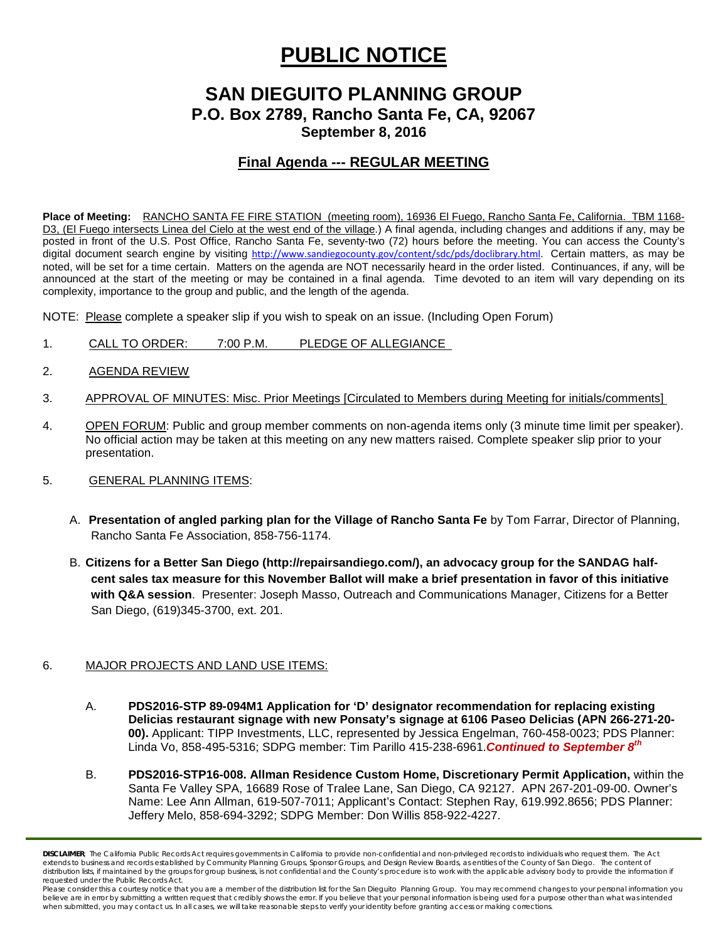# **PUBLIC NOTICE**

## **SAN DIEGUITO PLANNING GROUP P.O. Box 2789, Rancho Santa Fe, CA, 92067 September 8, 2016**

### **Final Agenda --- REGULAR MEETING**

**Place of Meeting:** RANCHO SANTA FE FIRE STATION (meeting room), 16936 El Fuego, Rancho Santa Fe, California. TBM 1168- D3, (El Fuego intersects Linea del Cielo at the west end of the village.) A final agenda, including changes and additions if any, may be posted in front of the U.S. Post Office, Rancho Santa Fe, seventy-two (72) hours before the meeting. You can access the County's digital document search engine by visiting [http://www.sandiegocounty.gov/content/sdc/pds/doclibrary.html.](http://www.sandiegocounty.gov/content/sdc/pds/doclibrary.html) Certain matters, as may be noted, will be set for a time certain. Matters on the agenda are NOT necessarily heard in the order listed. Continuances, if any, will be announced at the start of the meeting or may be contained in a final agenda. Time devoted to an item will vary depending on its complexity, importance to the group and public, and the length of the agenda.

NOTE: Please complete a speaker slip if you wish to speak on an issue. (Including Open Forum)

- 1. CALL TO ORDER: 7:00 P.M. PLEDGE OF ALLEGIANCE
- 2. AGENDA REVIEW
- 3. APPROVAL OF MINUTES: Misc. Prior Meetings [Circulated to Members during Meeting for initials/comments]
- 4. OPEN FORUM: Public and group member comments on non-agenda items only (3 minute time limit per speaker). No official action may be taken at this meeting on any new matters raised. Complete speaker slip prior to your presentation.
- 5. GENERAL PLANNING ITEMS:
	- A. **Presentation of angled parking plan for the Village of Rancho Santa Fe** by Tom Farrar, Director of Planning, Rancho Santa Fe Association, 858-756-1174.
	- B. **Citizens for a Better San Diego [\(http://repairsandiego.com/\)](http://repairsandiego.com/), an advocacy group for the SANDAG halfcent sales tax measure for this November Ballot will make a brief presentation in favor of this initiative with Q&A session**. Presenter: Joseph Masso, Outreach and Communications Manager, Citizens for a Better San Diego, [\(619\)345-3700, ext. 201.](tel:%28619%29345-3700%2C%20ext.%20201)

#### 6. MAJOR PROJECTS AND LAND USE ITEMS:

- A. **PDS2016-STP 89-094M1 Application for 'D' designator recommendation for replacing existing Delicias restaurant signage with new Ponsaty's signage at 6106 Paseo Delicias (APN 266-271-20- 00).** Applicant: TIPP Investments, LLC, represented by Jessica Engelman, [760-458-0023;](tel:760-458-0023) PDS Planner: Linda Vo, [858-495-5316;](tel:858-495-5316) SDPG member: Tim Parillo [415-238-6961.](tel:415-238-6961)*Continued to September 8th*
- B. **PDS2016-STP16-008. Allman Residence Custom Home, Discretionary Permit Application,** within the Santa Fe Valley SPA, 16689 Rose of Tralee Lane, San Diego, CA 92127. APN 267-201-09-00. Owner's Name: Lee Ann Allman, [619-507-7011;](tel:619.507.7011) Applicant's Contact: Stephen Ray, [619.992.8656;](tel:619.992.8656) PDS Planner: Jeffery Melo, [858-694-3292;](tel:858.694-3292) SDPG Member: Don Willis 858-922-4227.

*DISCLAIMER; The California Public Records Act requires governments in California to provide non-confidential and non-privileged records to individuals who request them. The Act*  extends to business and records established by Community Planning Groups, Sponsor Groups, and Design Review Boards, as entities of the County of San Diego. The content of distribution lists, if maintained by the groups for group business, is not confidential and the County's procedure is to work with the applicable advisory body to provide the information if *requested under the Public Records Act.*

Please consider this a courtesy notice that you are a member of the distribution list for the San Dieguito Planning Group. You may recommend changes to your personal information you believe are in error by submitting a written request that credibly shows the error. If you believe that your personal information is being used for a purpose other than what was intended *when submitted, you may contact us. In all cases, we will take reasonable steps to verify your identity before granting access or making corrections.*